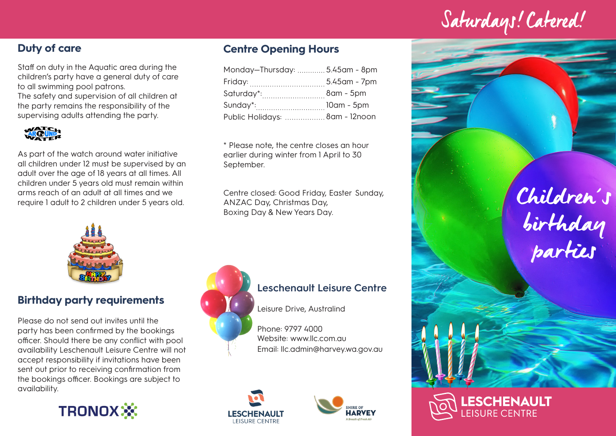Saturdays! Catered!

## **Duty of care**

Staff on duty in the Aquatic area during the children's party have a general duty of care to all swimming pool patrons. The safety and supervision of all children at the party remains the responsibility of the supervising adults attending the party.



As part of the watch around water initiative all children under 12 must be supervised by an adult over the age of 18 years at all times. All children under 5 years old must remain within arms reach of an adult at all times and we require 1 adult to 2 children under 5 years old.



### **Birthday party requirements**

Please do not send out invites until the party has been confirmed by the bookings officer. Should there be any conflict with pool availability Leschenault Leisure Centre will not accept responsibility if invitations have been sent out prior to receiving confirmation from the bookings officer. Bookings are subject to availability.

**TRONOX※** 

### **Centre Opening Hours**

| Monday-Thursday:  5.45am - 8pm |  |
|--------------------------------|--|
|                                |  |
| Saturday*: 8am - 5pm           |  |
| Sunday*: 10am - 5pm            |  |
| Public Holidays:  8am - 12noon |  |

\* Please note, the centre closes an hour earlier during winter from 1 April to 30 September.

Centre closed: Good Friday, Easter Sunday, ANZAC Day, Christmas Day, Boxing Day & New Years Day.



### **Leschenault Leisure Centre**

Leisure Drive, Australind

Phone: 9797 4000 Website: www.llc.com.au Email: llc.admin@harvey.wa.gov.au





Children's birthday parties